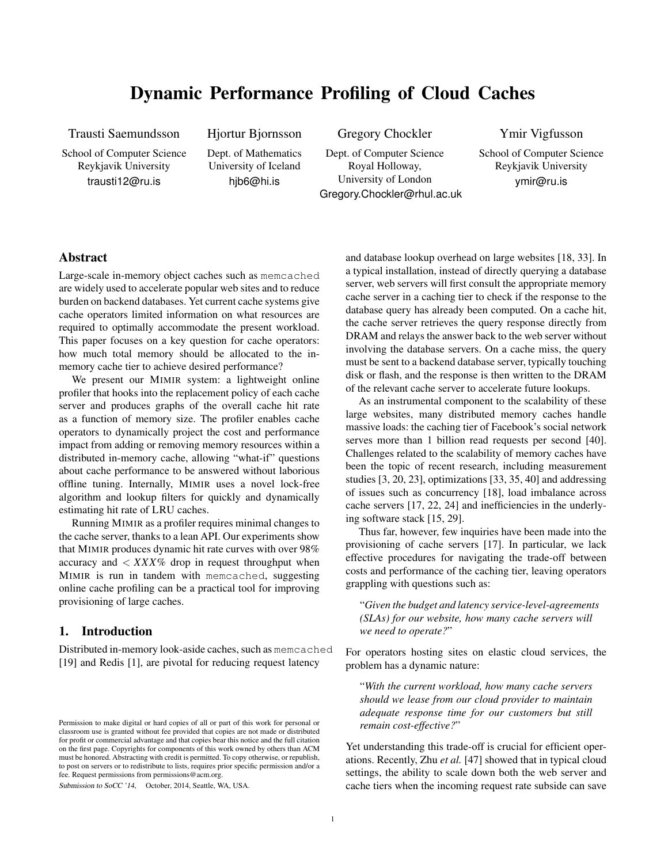# Dynamic Performance Profiling of Cloud Caches

Trausti Saemundsson

School of Computer Science Reykjavik University trausti12@ru.is

Hjortur Bjornsson

Dept. of Mathematics University of Iceland hjb6@hi.is

Gregory Chockler

Dept. of Computer Science Royal Holloway, University of London Gregory.Chockler@rhul.ac.uk Ymir Vigfusson

School of Computer Science Reykjavik University ymir@ru.is

# Abstract

Large-scale in-memory object caches such as memcached are widely used to accelerate popular web sites and to reduce burden on backend databases. Yet current cache systems give cache operators limited information on what resources are required to optimally accommodate the present workload. This paper focuses on a key question for cache operators: how much total memory should be allocated to the inmemory cache tier to achieve desired performance?

We present our MIMIR system: a lightweight online profiler that hooks into the replacement policy of each cache server and produces graphs of the overall cache hit rate as a function of memory size. The profiler enables cache operators to dynamically project the cost and performance impact from adding or removing memory resources within a distributed in-memory cache, allowing "what-if" questions about cache performance to be answered without laborious offline tuning. Internally, MIMIR uses a novel lock-free algorithm and lookup filters for quickly and dynamically estimating hit rate of LRU caches.

Running MIMIR as a profiler requires minimal changes to the cache server, thanks to a lean API. Our experiments show that MIMIR produces dynamic hit rate curves with over 98% accuracy and  $\langle XXX\%$  drop in request throughput when MIMIR is run in tandem with memcached, suggesting online cache profiling can be a practical tool for improving provisioning of large caches.

## 1. Introduction

Distributed in-memory look-aside caches, such as memcached [19] and Redis [1], are pivotal for reducing request latency

Submission to SoCC '14, October, 2014, Seattle, WA, USA.

and database lookup overhead on large websites [18, 33]. In a typical installation, instead of directly querying a database server, web servers will first consult the appropriate memory cache server in a caching tier to check if the response to the database query has already been computed. On a cache hit, the cache server retrieves the query response directly from DRAM and relays the answer back to the web server without involving the database servers. On a cache miss, the query must be sent to a backend database server, typically touching disk or flash, and the response is then written to the DRAM of the relevant cache server to accelerate future lookups.

As an instrumental component to the scalability of these large websites, many distributed memory caches handle massive loads: the caching tier of Facebook's social network serves more than 1 billion read requests per second [40]. Challenges related to the scalability of memory caches have been the topic of recent research, including measurement studies [3, 20, 23], optimizations [33, 35, 40] and addressing of issues such as concurrency [18], load imbalance across cache servers [17, 22, 24] and inefficiencies in the underlying software stack [15, 29].

Thus far, however, few inquiries have been made into the provisioning of cache servers [17]. In particular, we lack effective procedures for navigating the trade-off between costs and performance of the caching tier, leaving operators grappling with questions such as:

"*Given the budget and latency service-level-agreements (SLAs) for our website, how many cache servers will we need to operate?*"

For operators hosting sites on elastic cloud services, the problem has a dynamic nature:

"*With the current workload, how many cache servers should we lease from our cloud provider to maintain adequate response time for our customers but still remain cost-effective?*"

Yet understanding this trade-off is crucial for efficient operations. Recently, Zhu *et al.* [47] showed that in typical cloud settings, the ability to scale down both the web server and cache tiers when the incoming request rate subside can save

Permission to make digital or hard copies of all or part of this work for personal or classroom use is granted without fee provided that copies are not made or distributed for profit or commercial advantage and that copies bear this notice and the full citation on the first page. Copyrights for components of this work owned by others than ACM must be honored. Abstracting with credit is permitted. To copy otherwise, or republish, to post on servers or to redistribute to lists, requires prior specific permission and/or a fee. Request permissions from permissions@acm.org.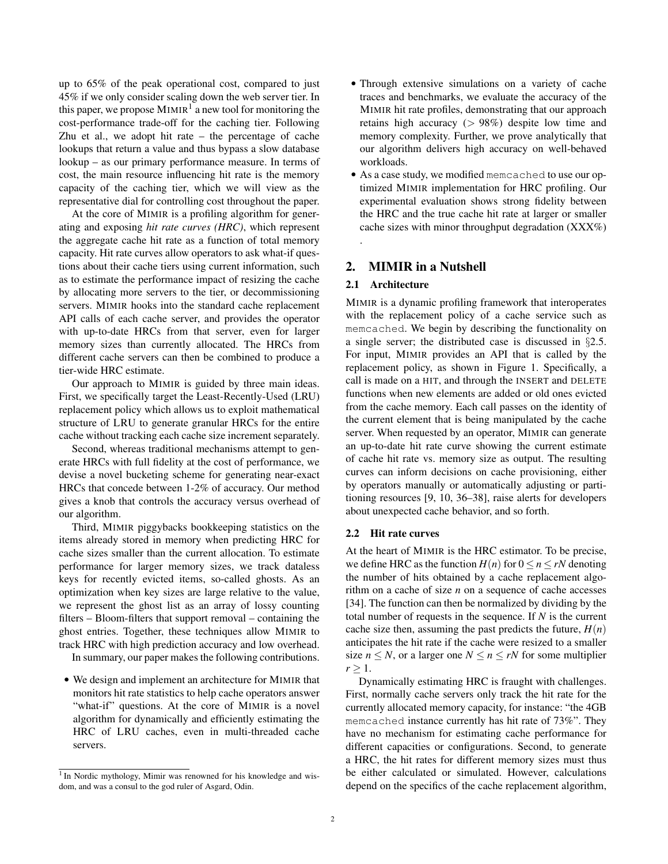up to 65% of the peak operational cost, compared to just 45% if we only consider scaling down the web server tier. In this paper, we propose  $MIMIR<sup>1</sup>$  a new tool for monitoring the cost-performance trade-off for the caching tier. Following Zhu et al., we adopt hit rate – the percentage of cache lookups that return a value and thus bypass a slow database lookup – as our primary performance measure. In terms of cost, the main resource influencing hit rate is the memory capacity of the caching tier, which we will view as the representative dial for controlling cost throughout the paper.

At the core of MIMIR is a profiling algorithm for generating and exposing *hit rate curves (HRC)*, which represent the aggregate cache hit rate as a function of total memory capacity. Hit rate curves allow operators to ask what-if questions about their cache tiers using current information, such as to estimate the performance impact of resizing the cache by allocating more servers to the tier, or decommissioning servers. MIMIR hooks into the standard cache replacement API calls of each cache server, and provides the operator with up-to-date HRCs from that server, even for larger memory sizes than currently allocated. The HRCs from different cache servers can then be combined to produce a tier-wide HRC estimate.

Our approach to MIMIR is guided by three main ideas. First, we specifically target the Least-Recently-Used (LRU) replacement policy which allows us to exploit mathematical structure of LRU to generate granular HRCs for the entire cache without tracking each cache size increment separately.

Second, whereas traditional mechanisms attempt to generate HRCs with full fidelity at the cost of performance, we devise a novel bucketing scheme for generating near-exact HRCs that concede between 1-2% of accuracy. Our method gives a knob that controls the accuracy versus overhead of our algorithm.

Third, MIMIR piggybacks bookkeeping statistics on the items already stored in memory when predicting HRC for cache sizes smaller than the current allocation. To estimate performance for larger memory sizes, we track dataless keys for recently evicted items, so-called ghosts. As an optimization when key sizes are large relative to the value, we represent the ghost list as an array of lossy counting filters – Bloom-filters that support removal – containing the ghost entries. Together, these techniques allow MIMIR to track HRC with high prediction accuracy and low overhead. In summary, our paper makes the following contributions.

• We design and implement an architecture for MIMIR that monitors hit rate statistics to help cache operators answer "what-if" questions. At the core of MIMIR is a novel algorithm for dynamically and efficiently estimating the HRC of LRU caches, even in multi-threaded cache servers.

- Through extensive simulations on a variety of cache traces and benchmarks, we evaluate the accuracy of the MIMIR hit rate profiles, demonstrating that our approach retains high accuracy  $(> 98\%)$  despite low time and memory complexity. Further, we prove analytically that our algorithm delivers high accuracy on well-behaved workloads.
- As a case study, we modified memcached to use our optimized MIMIR implementation for HRC profiling. Our experimental evaluation shows strong fidelity between the HRC and the true cache hit rate at larger or smaller cache sizes with minor throughput degradation (XXX%) .

# 2. MIMIR in a Nutshell

#### 2.1 Architecture

MIMIR is a dynamic profiling framework that interoperates with the replacement policy of a cache service such as memcached. We begin by describing the functionality on a single server; the distributed case is discussed in §2.5. For input, MIMIR provides an API that is called by the replacement policy, as shown in Figure 1. Specifically, a call is made on a HIT, and through the INSERT and DELETE functions when new elements are added or old ones evicted from the cache memory. Each call passes on the identity of the current element that is being manipulated by the cache server. When requested by an operator, MIMIR can generate an up-to-date hit rate curve showing the current estimate of cache hit rate vs. memory size as output. The resulting curves can inform decisions on cache provisioning, either by operators manually or automatically adjusting or partitioning resources [9, 10, 36–38], raise alerts for developers about unexpected cache behavior, and so forth.

#### 2.2 Hit rate curves

At the heart of MIMIR is the HRC estimator. To be precise, we define HRC as the function  $H(n)$  for  $0 \le n \le rN$  denoting the number of hits obtained by a cache replacement algorithm on a cache of size *n* on a sequence of cache accesses [34]. The function can then be normalized by dividing by the total number of requests in the sequence. If *N* is the current cache size then, assuming the past predicts the future,  $H(n)$ anticipates the hit rate if the cache were resized to a smaller size  $n \leq N$ , or a larger one  $N \leq n \leq rN$  for some multiplier  $r > 1$ .

Dynamically estimating HRC is fraught with challenges. First, normally cache servers only track the hit rate for the currently allocated memory capacity, for instance: "the 4GB memcached instance currently has hit rate of 73%". They have no mechanism for estimating cache performance for different capacities or configurations. Second, to generate a HRC, the hit rates for different memory sizes must thus be either calculated or simulated. However, calculations depend on the specifics of the cache replacement algorithm,

<sup>&</sup>lt;sup>1</sup> In Nordic mythology, Mimir was renowned for his knowledge and wisdom, and was a consul to the god ruler of Asgard, Odin.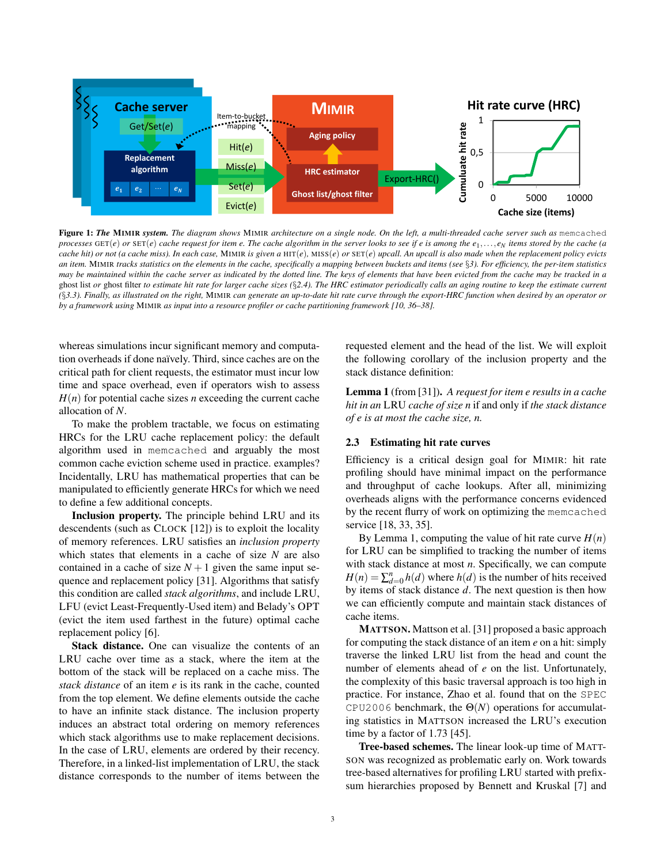

Figure 1: *The* MIMIR *system. The diagram shows* MIMIR *architecture on a single node. On the left, a multi-threaded cache server such as* memcached *processes* GET(*e*) *or* SET(*e*) *cache request for item e. The cache algorithm in the server looks to see if e is among the e*1,..., *e<sup>N</sup> items stored by the cache (a cache hit) or not (a cache miss). In each case,* MIMIR *is given a* HIT(*e*)*,* MISS(*e*) *or* SET(*e*) *upcall. An upcall is also made when the replacement policy evicts an item.* MIMIR *tracks statistics on the elements in the cache, specifically a mapping between buckets and items (see* §*3). For efficiency, the per-item statistics may be maintained within the cache server as indicated by the dotted line. The keys of elements that have been evicted from the cache may be tracked in a* ghost list *or* ghost filter *to estimate hit rate for larger cache sizes (*§*2.4). The HRC estimator periodically calls an aging routine to keep the estimate current (*§*3.3). Finally, as illustrated on the right,* MIMIR *can generate an up-to-date hit rate curve through the export-HRC function when desired by an operator or by a framework using* MIMIR *as input into a resource profiler or cache partitioning framework [10, 36–38].*

whereas simulations incur significant memory and computation overheads if done naïvely. Third, since caches are on the critical path for client requests, the estimator must incur low time and space overhead, even if operators wish to assess  $H(n)$  for potential cache sizes *n* exceeding the current cache allocation of *N*.

To make the problem tractable, we focus on estimating HRCs for the LRU cache replacement policy: the default algorithm used in memcached and arguably the most common cache eviction scheme used in practice. examples? Incidentally, LRU has mathematical properties that can be manipulated to efficiently generate HRCs for which we need to define a few additional concepts.

Inclusion property. The principle behind LRU and its descendents (such as CLOCK [12]) is to exploit the locality of memory references. LRU satisfies an *inclusion property* which states that elements in a cache of size *N* are also contained in a cache of size  $N+1$  given the same input sequence and replacement policy [31]. Algorithms that satisfy this condition are called *stack algorithms*, and include LRU, LFU (evict Least-Frequently-Used item) and Belady's OPT (evict the item used farthest in the future) optimal cache replacement policy [6].

Stack distance. One can visualize the contents of an LRU cache over time as a stack, where the item at the bottom of the stack will be replaced on a cache miss. The *stack distance* of an item *e* is its rank in the cache, counted from the top element. We define elements outside the cache to have an infinite stack distance. The inclusion property induces an abstract total ordering on memory references which stack algorithms use to make replacement decisions. In the case of LRU, elements are ordered by their recency. Therefore, in a linked-list implementation of LRU, the stack distance corresponds to the number of items between the requested element and the head of the list. We will exploit the following corollary of the inclusion property and the stack distance definition:

Lemma 1 (from [31]). *A request for item e results in a cache hit in an* LRU *cache of size n* if and only if *the stack distance of e is at most the cache size, n.*

#### 2.3 Estimating hit rate curves

Efficiency is a critical design goal for MIMIR: hit rate profiling should have minimal impact on the performance and throughput of cache lookups. After all, minimizing overheads aligns with the performance concerns evidenced by the recent flurry of work on optimizing the memcached service [18, 33, 35].

By Lemma 1, computing the value of hit rate curve  $H(n)$ for LRU can be simplified to tracking the number of items with stack distance at most *n*. Specifically, we can compute  $H(n) = \sum_{d=0}^{n} h(d)$  where *h*(*d*) is the number of hits received by items of stack distance *d*. The next question is then how we can efficiently compute and maintain stack distances of cache items.

MATTSON. Mattson et al. [31] proposed a basic approach for computing the stack distance of an item *e* on a hit: simply traverse the linked LRU list from the head and count the number of elements ahead of *e* on the list. Unfortunately, the complexity of this basic traversal approach is too high in practice. For instance, Zhao et al. found that on the SPEC CPU2006 benchmark, the  $\Theta(N)$  operations for accumulating statistics in MATTSON increased the LRU's execution time by a factor of 1.73 [45].

Tree-based schemes. The linear look-up time of MATT-SON was recognized as problematic early on. Work towards tree-based alternatives for profiling LRU started with prefixsum hierarchies proposed by Bennett and Kruskal [7] and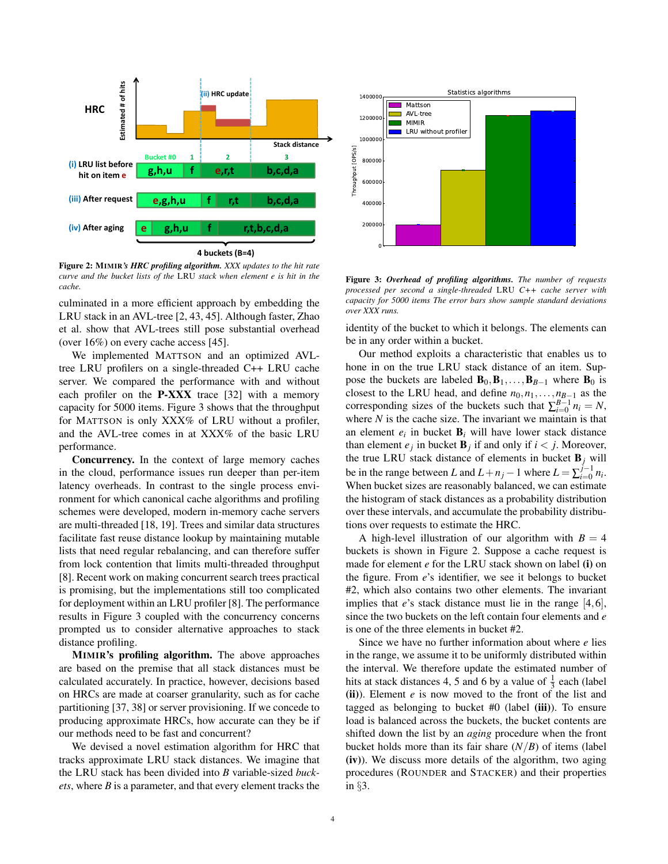

4 buckets (B=4)

Figure 2: MIMIR*'s HRC profiling algorithm. XXX updates to the hit rate curve and the bucket lists of the* LRU *stack when element e is hit in the cache.*

culminated in a more efficient approach by embedding the LRU stack in an AVL-tree [2, 43, 45]. Although faster, Zhao et al. show that AVL-trees still pose substantial overhead (over 16%) on every cache access [45].

We implemented MATTSON and an optimized AVLtree LRU profilers on a single-threaded C++ LRU cache server. We compared the performance with and without each profiler on the P-XXX trace [32] with a memory capacity for 5000 items. Figure 3 shows that the throughput for MATTSON is only XXX% of LRU without a profiler, and the AVL-tree comes in at XXX% of the basic LRU performance.

Concurrency. In the context of large memory caches in the cloud, performance issues run deeper than per-item latency overheads. In contrast to the single process environment for which canonical cache algorithms and profiling schemes were developed, modern in-memory cache servers are multi-threaded [18, 19]. Trees and similar data structures facilitate fast reuse distance lookup by maintaining mutable lists that need regular rebalancing, and can therefore suffer from lock contention that limits multi-threaded throughput [8]. Recent work on making concurrent search trees practical is promising, but the implementations still too complicated for deployment within an LRU profiler [8]. The performance results in Figure 3 coupled with the concurrency concerns prompted us to consider alternative approaches to stack distance profiling.

MIMIR's profiling algorithm. The above approaches are based on the premise that all stack distances must be calculated accurately. In practice, however, decisions based on HRCs are made at coarser granularity, such as for cache partitioning [37, 38] or server provisioning. If we concede to producing approximate HRCs, how accurate can they be if our methods need to be fast and concurrent?

We devised a novel estimation algorithm for HRC that tracks approximate LRU stack distances. We imagine that the LRU stack has been divided into *B* variable-sized *buckets*, where *B* is a parameter, and that every element tracks the



Figure 3: *Overhead of profiling algorithms. The number of requests processed per second a single-threaded* LRU *C++ cache server with capacity for 5000 items The error bars show sample standard deviations over XXX runs.*

identity of the bucket to which it belongs. The elements can be in any order within a bucket.

Our method exploits a characteristic that enables us to hone in on the true LRU stack distance of an item. Suppose the buckets are labeled  $\mathbf{B}_0, \mathbf{B}_1, \ldots, \mathbf{B}_{B-1}$  where  $\mathbf{B}_0$  is closest to the LRU head, and define  $n_0, n_1, \ldots, n_{B-1}$  as the corresponding sizes of the buckets such that  $\sum_{i=0}^{B-1} n_i = N$ , where  $N$  is the cache size. The invariant we maintain is that an element  $e_i$  in bucket  $\mathbf{B}_i$  will have lower stack distance than element  $e_j$  in bucket  $\mathbf{B}_j$  if and only if  $i < j$ . Moreover, the true LRU stack distance of elements in bucket  $B_j$  will be in the range between *L* and  $L + n_j - 1$  where  $L = \sum_{i=0}^{j-1}$  $\int_{i=0}^{j-1} n_i$ . When bucket sizes are reasonably balanced, we can estimate the histogram of stack distances as a probability distribution over these intervals, and accumulate the probability distributions over requests to estimate the HRC.

A high-level illustration of our algorithm with  $B = 4$ buckets is shown in Figure 2. Suppose a cache request is made for element *e* for the LRU stack shown on label (i) on the figure. From *e*'s identifier, we see it belongs to bucket #2, which also contains two other elements. The invariant implies that *e*'s stack distance must lie in the range [4,6], since the two buckets on the left contain four elements and *e* is one of the three elements in bucket #2.

Since we have no further information about where *e* lies in the range, we assume it to be uniformly distributed within the interval. We therefore update the estimated number of hits at stack distances 4, 5 and 6 by a value of  $\frac{1}{3}$  each (label (ii)). Element *e* is now moved to the front of the list and tagged as belonging to bucket  $#0$  (label (iii)). To ensure load is balanced across the buckets, the bucket contents are shifted down the list by an *aging* procedure when the front bucket holds more than its fair share  $(N/B)$  of items (label (iv)). We discuss more details of the algorithm, two aging procedures (ROUNDER and STACKER) and their properties in §3.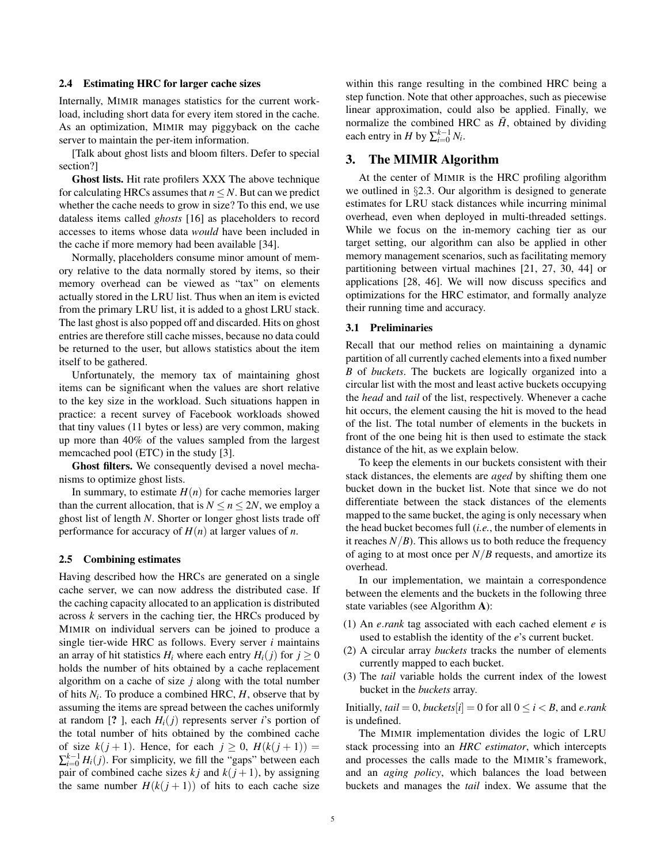#### 2.4 Estimating HRC for larger cache sizes

Internally, MIMIR manages statistics for the current workload, including short data for every item stored in the cache. As an optimization, MIMIR may piggyback on the cache server to maintain the per-item information.

[Talk about ghost lists and bloom filters. Defer to special section?]

Ghost lists. Hit rate profilers XXX The above technique for calculating HRCs assumes that  $n \leq N$ . But can we predict whether the cache needs to grow in size? To this end, we use dataless items called *ghosts* [16] as placeholders to record accesses to items whose data *would* have been included in the cache if more memory had been available [34].

Normally, placeholders consume minor amount of memory relative to the data normally stored by items, so their memory overhead can be viewed as "tax" on elements actually stored in the LRU list. Thus when an item is evicted from the primary LRU list, it is added to a ghost LRU stack. The last ghost is also popped off and discarded. Hits on ghost entries are therefore still cache misses, because no data could be returned to the user, but allows statistics about the item itself to be gathered.

Unfortunately, the memory tax of maintaining ghost items can be significant when the values are short relative to the key size in the workload. Such situations happen in practice: a recent survey of Facebook workloads showed that tiny values (11 bytes or less) are very common, making up more than 40% of the values sampled from the largest memcached pool (ETC) in the study [3].

Ghost filters. We consequently devised a novel mechanisms to optimize ghost lists.

In summary, to estimate  $H(n)$  for cache memories larger than the current allocation, that is  $N \le n \le 2N$ , we employ a ghost list of length *N*. Shorter or longer ghost lists trade off performance for accuracy of  $H(n)$  at larger values of *n*.

#### 2.5 Combining estimates

Having described how the HRCs are generated on a single cache server, we can now address the distributed case. If the caching capacity allocated to an application is distributed across *k* servers in the caching tier, the HRCs produced by MIMIR on individual servers can be joined to produce a single tier-wide HRC as follows. Every server *i* maintains an array of hit statistics  $H_i$  where each entry  $H_i(i)$  for  $i \geq 0$ holds the number of hits obtained by a cache replacement algorithm on a cache of size *j* along with the total number of hits  $N_i$ . To produce a combined HRC,  $H$ , observe that by assuming the items are spread between the caches uniformly at random [? ], each  $H_i(j)$  represents server *i*'s portion of the total number of hits obtained by the combined cache of size  $k(j + 1)$ . Hence, for each  $j \ge 0$ ,  $H(k(j + 1)) =$  $\sum_{i=0}^{k-1} H_i(j)$ . For simplicity, we fill the "gaps" between each pair of combined cache sizes  $kj$  and  $k(j+1)$ , by assigning the same number  $H(k(j + 1))$  of hits to each cache size

within this range resulting in the combined HRC being a step function. Note that other approaches, such as piecewise linear approximation, could also be applied. Finally, we normalize the combined HRC as  $\bar{H}$ , obtained by dividing each entry in *H* by  $\sum_{i=0}^{k-1} N_i$ .

## 3. The MIMIR Algorithm

At the center of MIMIR is the HRC profiling algorithm we outlined in §2.3. Our algorithm is designed to generate estimates for LRU stack distances while incurring minimal overhead, even when deployed in multi-threaded settings. While we focus on the in-memory caching tier as our target setting, our algorithm can also be applied in other memory management scenarios, such as facilitating memory partitioning between virtual machines [21, 27, 30, 44] or applications [28, 46]. We will now discuss specifics and optimizations for the HRC estimator, and formally analyze their running time and accuracy.

#### 3.1 Preliminaries

Recall that our method relies on maintaining a dynamic partition of all currently cached elements into a fixed number *B* of *buckets*. The buckets are logically organized into a circular list with the most and least active buckets occupying the *head* and *tail* of the list, respectively. Whenever a cache hit occurs, the element causing the hit is moved to the head of the list. The total number of elements in the buckets in front of the one being hit is then used to estimate the stack distance of the hit, as we explain below.

To keep the elements in our buckets consistent with their stack distances, the elements are *aged* by shifting them one bucket down in the bucket list. Note that since we do not differentiate between the stack distances of the elements mapped to the same bucket, the aging is only necessary when the head bucket becomes full (*i.e.*, the number of elements in it reaches  $N/B$ ). This allows us to both reduce the frequency of aging to at most once per *N*/*B* requests, and amortize its overhead.

In our implementation, we maintain a correspondence between the elements and the buckets in the following three state variables (see Algorithm A):

- (1) An *e*.*rank* tag associated with each cached element *e* is used to establish the identity of the *e*'s current bucket.
- (2) A circular array *buckets* tracks the number of elements currently mapped to each bucket.
- (3) The *tail* variable holds the current index of the lowest bucket in the *buckets* array.

Initially,  $tail = 0$ , *buckets*[ $i$ ] = 0 for all  $0 \le i \le B$ , and *e.rank* is undefined.

The MIMIR implementation divides the logic of LRU stack processing into an *HRC estimator*, which intercepts and processes the calls made to the MIMIR's framework, and an *aging policy*, which balances the load between buckets and manages the *tail* index. We assume that the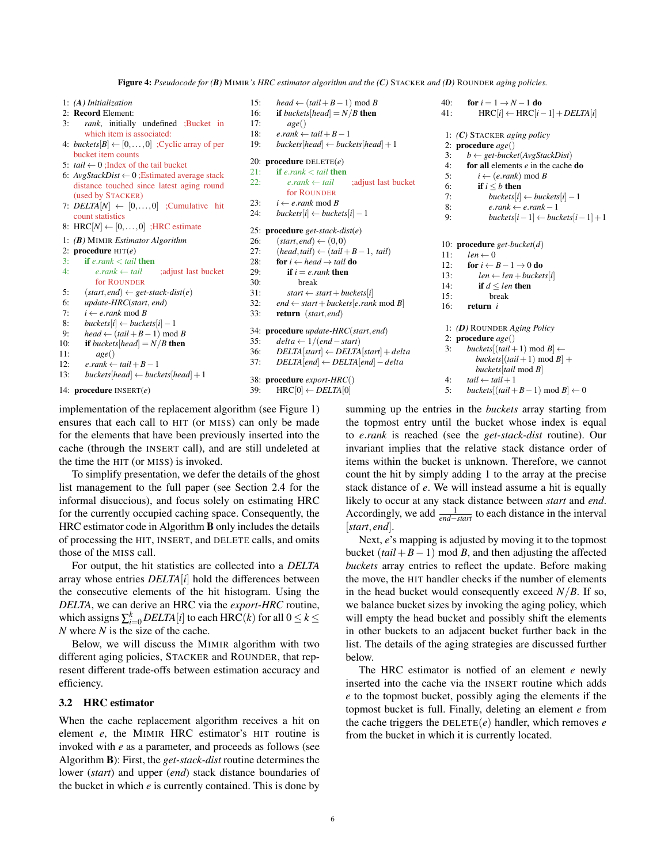Figure 4: *Pseudocode for (B)* MIMIR*'s HRC estimator algorithm and the (C)* STACKER *and (D)* ROUNDER *aging policies.*

- 1: *(A) Initialization* 2: Record Element: 3: *rank*, initially undefined ;Bucket in which item is associated: 4: *buckets*[ $B$ ]  $\leftarrow$  [0,...,0] ; Cyclic array of per bucket item counts 5:  $tail \leftarrow 0$ : Index of the tail bucket 6: *AvgStackDist* ← 0 ;Estimated average stack distance touched since latest aging round (used by STACKER) 7:  $DELTA[N] \leftarrow [0, \ldots, 0]$  ; Cumulative hit count statistics 8: HRC $[N] \leftarrow [0, \ldots, 0]$ ; HRC estimate 1: *(B)* MIMIR *Estimator Algorithm* 2: procedure HIT(*e*) 3: **if**  $e$ *.rank*  $\lt$  *tail* **then**<br>4:  $e$ *.rank*  $\leftarrow$  *tail* 4: *e*.*rank* ← *tail* ;adjust last bucket for ROUNDER 5:  $(start, end) \leftarrow get\text{-}stack\text{-}dist(e)$ 6: *update-HRC*(*start*, *end*)
- 7:  $i \leftarrow e.\text{rank} \mod B$ 8: *buckets*[ $i$ ] ← *buckets*[ $i$ ] – 1
- 9:  $head \leftarrow (tail + B 1) \text{ mod } B$

```
10: if buckets[head] = N/B then
```
- 11: *age*()
- 12: *e*.*rank* ← *tail*+*B*−1
- 13: *buckets*[ $head$ ]  $\leftarrow$  *buckets*[ $head$ ] + 1

```
14: procedure INSERT(e)
```
implementation of the replacement algorithm (see Figure 1) ensures that each call to HIT (or MISS) can only be made for the elements that have been previously inserted into the cache (through the INSERT call), and are still undeleted at the time the HIT (or MISS) is invoked.

To simplify presentation, we defer the details of the ghost list management to the full paper (see Section 2.4 for the informal disuccious), and focus solely on estimating HRC for the currently occupied caching space. Consequently, the HRC estimator code in Algorithm B only includes the details of processing the HIT, INSERT, and DELETE calls, and omits those of the MISS call.

For output, the hit statistics are collected into a *DELTA* array whose entries *DELTA*[*i*] hold the differences between the consecutive elements of the hit histogram. Using the *DELTA*, we can derive an HRC via the *export-HRC* routine, which assigns  $\sum_{i=0}^{k} DELTA[i]$  to each HRC(*k*) for all  $0 \le k \le$ *N* where *N* is the size of the cache.

Below, we will discuss the MIMIR algorithm with two different aging policies, STACKER and ROUNDER, that represent different trade-offs between estimation accuracy and efficiency.

## 3.2 HRC estimator

When the cache replacement algorithm receives a hit on element *e*, the MIMIR HRC estimator's HIT routine is invoked with *e* as a parameter, and proceeds as follows (see Algorithm B): First, the *get-stack-dist* routine determines the lower (*start*) and upper (*end*) stack distance boundaries of the bucket in which *e* is currently contained. This is done by

```
15: head \leftarrow (tail + B − 1) mod B
16: if buckets[head] = N/B then
17: age()
18: e\cdot rank \leftarrow tail + B - 119: buckets[head] ← buckets[head] +1
20: procedure DELETE(e)
21: if e\cdot rank \le tail then<br>22: e\cdot rank \leftarrow tail22: e\cdot rank \leftarrow tail ;adjust last bucket
           for ROUNDER
23: i \leftarrow erank mod B
24: buckets[i] ← buckets[i] – 1
25: procedure get-stack-dist(e)
26: (start, end) \leftarrow (0,0)27: (head, tail) \leftarrow (tail + B - 1, tail)28: for i \leftarrow head \rightarrow tail do
29: if i = e, rank then
30: break
31: start \leftarrow start + buckets[i]32: end \leftarrow start + buckets[e.rank mod B]
33: return (start, end)
34: procedure update-HRC(start, end)
35: delta ← 1/(end−start)
36: DELTA[start] ← DELTA[start] +delta
37: DELTA[end] ← DELTA[end]−delta
38: procedure export-HRC()
39: HRC[0] \leftarrow DELTA[0]40: for i = 1 \rightarrow N - 1 do
                                                       41: HRC[i] \leftarrow \text{HRC}[i-1] + \text{DELTA}[i]1: (C) STACKER aging policy
                                                       11: len \leftarrow 015: break
                                                       16: return i
                                                        2: procedure age()
```
2: procedure *age*() 3: *b* ← *get-bucket*(*AvgStackDist*) 4: for all elements *e* in the cache do 5:  $i \leftarrow (e.\text{rank}) \text{ mod } B$ 6: **if**  $i \leq b$  then<br>7: **buckets**[i]  $buckets[i] \leftarrow buckets[i] - 1$ 8: *e*.*rank* ← *e*.*rank*−1 9: *buckets*[ $i-1$ ] ← *buckets*[ $i-1$ ] + 1 10: procedure *get-bucket*(*d*) 12: **for**  $i \leftarrow B - 1 \rightarrow 0$  do 13:  $len \leftarrow len + buckets[i]$ 14: **if**  $d \leq len$  then 1: *(D)* ROUNDER *Aging Policy* 3: *buckets* $[(tail + 1) \text{ mod } B] \leftarrow$  $buckets[(tail + 1) \text{ mod } B] +$ *buckets*[*tail* mod *B*] 4:  $tail \leftarrow tail + 1$ 5: *buckets*[ $(tail + B - 1) \text{ mod } B$ ] ← 0 summing up the entries in the *buckets* array starting from

the topmost entry until the bucket whose index is equal to *e*.*rank* is reached (see the *get-stack-dist* routine). Our invariant implies that the relative stack distance order of items within the bucket is unknown. Therefore, we cannot count the hit by simply adding 1 to the array at the precise stack distance of *e*. We will instead assume a hit is equally likely to occur at any stack distance between *start* and *end*. Accordingly, we add  $\frac{1}{end - start}$  to each distance in the interval [*start*, *end*].

Next, *e*'s mapping is adjusted by moving it to the topmost bucket  $(tail + B - 1)$  mod *B*, and then adjusting the affected *buckets* array entries to reflect the update. Before making the move, the HIT handler checks if the number of elements in the head bucket would consequently exceed  $N/B$ . If so, we balance bucket sizes by invoking the aging policy, which will empty the head bucket and possibly shift the elements in other buckets to an adjacent bucket further back in the list. The details of the aging strategies are discussed further below.

The HRC estimator is notfied of an element *e* newly inserted into the cache via the INSERT routine which adds *e* to the topmost bucket, possibly aging the elements if the topmost bucket is full. Finally, deleting an element *e* from the cache triggers the DELETE(*e*) handler, which removes *e* from the bucket in which it is currently located.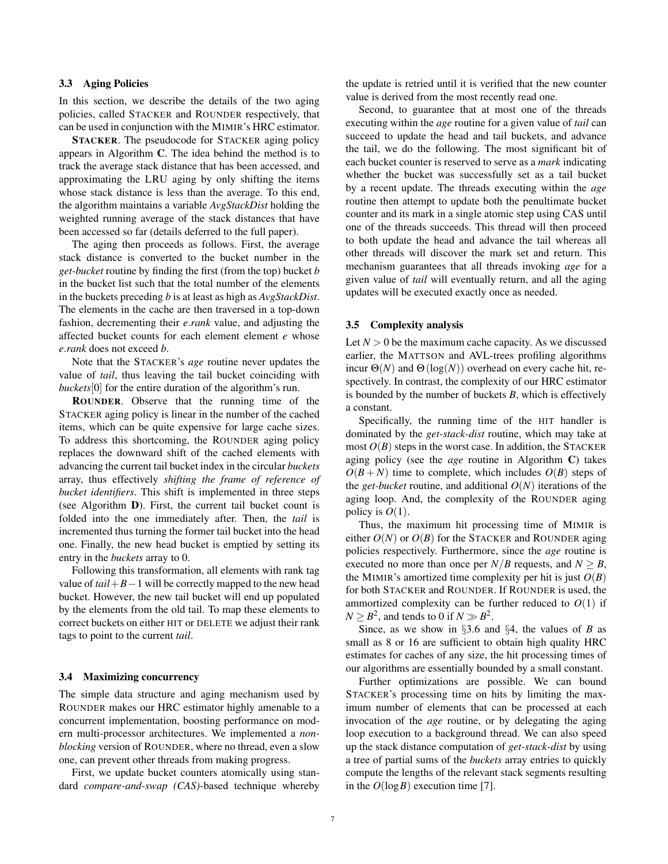## 3.3 Aging Policies

In this section, we describe the details of the two aging policies, called STACKER and ROUNDER respectively, that can be used in conjunction with the MIMIR's HRC estimator.

STACKER. The pseudocode for STACKER aging policy appears in Algorithm C. The idea behind the method is to track the average stack distance that has been accessed, and approximating the LRU aging by only shifting the items whose stack distance is less than the average. To this end, the algorithm maintains a variable *AvgStackDist* holding the weighted running average of the stack distances that have been accessed so far (details deferred to the full paper).

The aging then proceeds as follows. First, the average stack distance is converted to the bucket number in the *get-bucket* routine by finding the first (from the top) bucket *b* in the bucket list such that the total number of the elements in the buckets preceding *b* is at least as high as *AvgStackDist*. The elements in the cache are then traversed in a top-down fashion, decrementing their *e*.*rank* value, and adjusting the affected bucket counts for each element element *e* whose *e*.*rank* does not exceed *b*.

Note that the STACKER's *age* routine never updates the value of *tail*, thus leaving the tail bucket coinciding with *buckets*[0] for the entire duration of the algorithm's run.

ROUNDER. Observe that the running time of the STACKER aging policy is linear in the number of the cached items, which can be quite expensive for large cache sizes. To address this shortcoming, the ROUNDER aging policy replaces the downward shift of the cached elements with advancing the current tail bucket index in the circular *buckets* array, thus effectively *shifting the frame of reference of bucket identifiers*. This shift is implemented in three steps (see Algorithm D). First, the current tail bucket count is folded into the one immediately after. Then, the *tail* is incremented thus turning the former tail bucket into the head one. Finally, the new head bucket is emptied by setting its entry in the *buckets* array to 0.

Following this transformation, all elements with rank tag value of *tail*+*B*−1 will be correctly mapped to the new head bucket. However, the new tail bucket will end up populated by the elements from the old tail. To map these elements to correct buckets on either HIT or DELETE we adjust their rank tags to point to the current *tail*.

#### 3.4 Maximizing concurrency

The simple data structure and aging mechanism used by ROUNDER makes our HRC estimator highly amenable to a concurrent implementation, boosting performance on modern multi-processor architectures. We implemented a *nonblocking* version of ROUNDER, where no thread, even a slow one, can prevent other threads from making progress.

First, we update bucket counters atomically using standard *compare-and-swap (CAS)*-based technique whereby the update is retried until it is verified that the new counter value is derived from the most recently read one.

Second, to guarantee that at most one of the threads executing within the *age* routine for a given value of *tail* can succeed to update the head and tail buckets, and advance the tail, we do the following. The most significant bit of each bucket counter is reserved to serve as a *mark* indicating whether the bucket was successfully set as a tail bucket by a recent update. The threads executing within the *age* routine then attempt to update both the penultimate bucket counter and its mark in a single atomic step using CAS until one of the threads succeeds. This thread will then proceed to both update the head and advance the tail whereas all other threads will discover the mark set and return. This mechanism guarantees that all threads invoking *age* for a given value of *tail* will eventually return, and all the aging updates will be executed exactly once as needed.

#### 3.5 Complexity analysis

Let  $N > 0$  be the maximum cache capacity. As we discussed earlier, the MATTSON and AVL-trees profiling algorithms incur  $\Theta(N)$  and  $\Theta(\log(N))$  overhead on every cache hit, respectively. In contrast, the complexity of our HRC estimator is bounded by the number of buckets *B*, which is effectively a constant.

Specifically, the running time of the HIT handler is dominated by the *get-stack-dist* routine, which may take at most  $O(B)$  steps in the worst case. In addition, the STACKER aging policy (see the *age* routine in Algorithm C) takes  $O(B+N)$  time to complete, which includes  $O(B)$  steps of the *get-bucket* routine, and additional  $O(N)$  iterations of the aging loop. And, the complexity of the ROUNDER aging policy is  $O(1)$ .

Thus, the maximum hit processing time of MIMIR is either  $O(N)$  or  $O(B)$  for the STACKER and ROUNDER aging policies respectively. Furthermore, since the *age* routine is executed no more than once per  $N/B$  requests, and  $N \geq B$ , the MIMIR's amortized time complexity per hit is just  $O(B)$ for both STACKER and ROUNDER. If ROUNDER is used, the ammortized complexity can be further reduced to  $O(1)$  if  $N \geq B^2$ , and tends to 0 if  $N \gg B^2$ .

Since, as we show in §3.6 and §4, the values of *B* as small as 8 or 16 are sufficient to obtain high quality HRC estimates for caches of any size, the hit processing times of our algorithms are essentially bounded by a small constant.

Further optimizations are possible. We can bound STACKER's processing time on hits by limiting the maximum number of elements that can be processed at each invocation of the *age* routine, or by delegating the aging loop execution to a background thread. We can also speed up the stack distance computation of *get-stack-dist* by using a tree of partial sums of the *buckets* array entries to quickly compute the lengths of the relevant stack segments resulting in the  $O(\log B)$  execution time [7].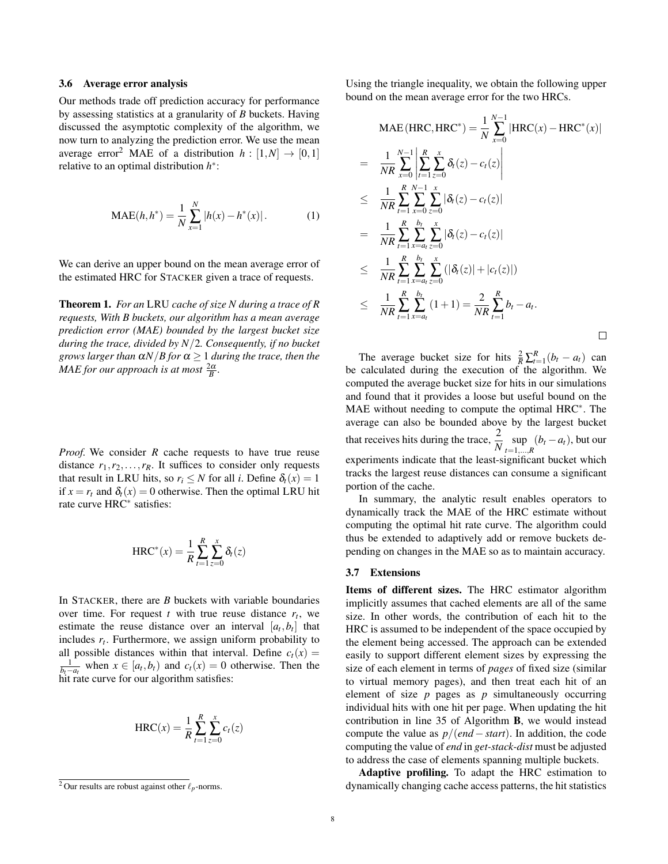#### 3.6 Average error analysis

Our methods trade off prediction accuracy for performance by assessing statistics at a granularity of *B* buckets. Having discussed the asymptotic complexity of the algorithm, we now turn to analyzing the prediction error. We use the mean average error<sup>2</sup> MAE of a distribution  $h : [1, N] \rightarrow [0, 1]$ relative to an optimal distribution *h* ∗ :

$$
\text{MAE}(h, h^*) = \frac{1}{N} \sum_{x=1}^{N} |h(x) - h^*(x)|. \tag{1}
$$

We can derive an upper bound on the mean average error of the estimated HRC for STACKER given a trace of requests.

Theorem 1. *For an* LRU *cache of size N during a trace of R requests, With B buckets, our algorithm has a mean average prediction error (MAE) bounded by the largest bucket size during the trace, divided by N*/2*. Consequently, if no bucket grows larger than*  $\alpha N/B$  *for*  $\alpha > 1$  *during the trace, then the*  $MAE$  *for our approach is at most*  $\frac{2\alpha}{B}$ *.* 

*Proof.* We consider *R* cache requests to have true reuse distance  $r_1, r_2, \ldots, r_R$ . It suffices to consider only requests that result in LRU hits, so  $r_i \leq N$  for all *i*. Define  $\delta_t(x) = 1$ if  $x = r_t$  and  $\delta_t(x) = 0$  otherwise. Then the optimal LRU hit rate curve HRC<sup>∗</sup> satisfies:

$$
HRC^*(x) = \frac{1}{R} \sum_{t=1}^{R} \sum_{z=0}^{x} \delta_t(z)
$$

In STACKER, there are  $B$  buckets with variable boundaries over time. For request  $t$  with true reuse distance  $r_t$ , we estimate the reuse distance over an interval  $[a_t, b_t]$  that includes  $r_t$ . Furthermore, we assign uniform probability to all possible distances within that interval. Define  $c_t(x) =$  $\frac{1}{b_t - a_t}$  when *x* ∈ [*a<sub>t</sub>*,*b<sub>t</sub>*) and *c<sub>t</sub>*(*x*) = 0 otherwise. Then the hit rate curve for our algorithm satisfies:

$$
HRC(x) = \frac{1}{R} \sum_{t=1}^{R} \sum_{z=0}^{x} c_t(z)
$$

Using the triangle inequality, we obtain the following upper bound on the mean average error for the two HRCs.

$$
\begin{split}\n\text{MAE}(\text{HRC}, \text{HRC}^*) &= \frac{1}{N} \sum_{x=0}^{N-1} |\text{HRC}(x) - \text{HRC}^*(x)| \\
&= \frac{1}{NR} \sum_{x=0}^{N-1} \left| \sum_{t=1}^{R} \sum_{z=0}^{x} \delta_t(z) - c_t(z) \right| \\
&\leq \frac{1}{NR} \sum_{t=1}^{R} \sum_{x=0}^{N-1} \sum_{z=0}^{x} |\delta_t(z) - c_t(z)| \\
&= \frac{1}{NR} \sum_{t=1}^{R} \sum_{x=a_t}^{b_t} \sum_{z=0}^{x} |\delta_t(z) - c_t(z)| \\
&\leq \frac{1}{NR} \sum_{t=1}^{R} \sum_{x=a_t}^{b_t} \sum_{z=0}^{x} (|\delta_t(z)| + |c_t(z)|) \\
&\leq \frac{1}{NR} \sum_{t=1}^{R} \sum_{x=a_t}^{b_t} (1+1) = \frac{2}{NR} \sum_{t=1}^{R} b_t - a_t.\n\end{split}
$$

The average bucket size for hits  $\frac{2}{R} \sum_{t=1}^{R} (b_t - a_t)$  can be calculated during the execution of the algorithm. We computed the average bucket size for hits in our simulations and found that it provides a loose but useful bound on the MAE without needing to compute the optimal HRC<sup>∗</sup>. The average can also be bounded above by the largest bucket that receives hits during the trace,  $\frac{2}{N}$  sup  $\sup_{t=1,\dots,R} (b_t - a_t)$ , but our experiments indicate that the least-significant bucket which tracks the largest reuse distances can consume a significant portion of the cache.

In summary, the analytic result enables operators to dynamically track the MAE of the HRC estimate without computing the optimal hit rate curve. The algorithm could thus be extended to adaptively add or remove buckets depending on changes in the MAE so as to maintain accuracy.

#### 3.7 Extensions

Items of different sizes. The HRC estimator algorithm implicitly assumes that cached elements are all of the same size. In other words, the contribution of each hit to the HRC is assumed to be independent of the space occupied by the element being accessed. The approach can be extended easily to support different element sizes by expressing the size of each element in terms of *pages* of fixed size (similar to virtual memory pages), and then treat each hit of an element of size *p* pages as *p* simultaneously occurring individual hits with one hit per page. When updating the hit contribution in line 35 of Algorithm B, we would instead compute the value as  $p/(end - start)$ . In addition, the code computing the value of *end* in *get-stack-dist* must be adjusted to address the case of elements spanning multiple buckets.

Adaptive profiling. To adapt the HRC estimation to dynamically changing cache access patterns, the hit statistics

<sup>&</sup>lt;sup>2</sup> Our results are robust against other  $\ell_p$ -norms.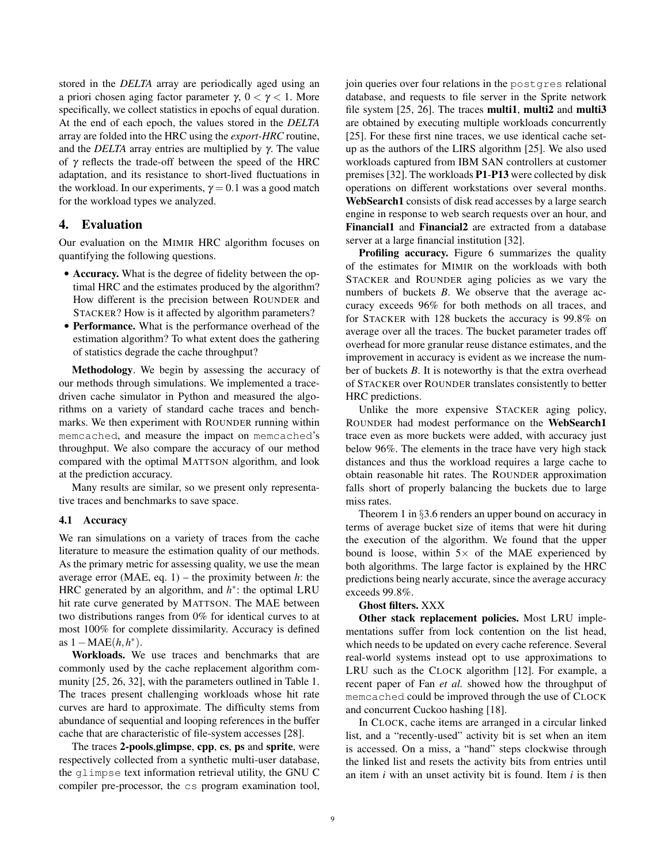stored in the *DELTA* array are periodically aged using an a priori chosen aging factor parameter γ,  $0 < \gamma < 1$ . More specifically, we collect statistics in epochs of equal duration. At the end of each epoch, the values stored in the *DELTA* array are folded into the HRC using the *export-HRC* routine, and the *DELTA* array entries are multiplied by γ. The value of γ reflects the trade-off between the speed of the HRC adaptation, and its resistance to short-lived fluctuations in the workload. In our experiments,  $\gamma = 0.1$  was a good match for the workload types we analyzed.

## 4. Evaluation

Our evaluation on the MIMIR HRC algorithm focuses on quantifying the following questions.

- Accuracy. What is the degree of fidelity between the optimal HRC and the estimates produced by the algorithm? How different is the precision between ROUNDER and STACKER? How is it affected by algorithm parameters?
- Performance. What is the performance overhead of the estimation algorithm? To what extent does the gathering of statistics degrade the cache throughput?

Methodology. We begin by assessing the accuracy of our methods through simulations. We implemented a tracedriven cache simulator in Python and measured the algorithms on a variety of standard cache traces and benchmarks. We then experiment with ROUNDER running within memcached, and measure the impact on memcached's throughput. We also compare the accuracy of our method compared with the optimal MATTSON algorithm, and look at the prediction accuracy.

Many results are similar, so we present only representative traces and benchmarks to save space.

#### 4.1 Accuracy

We ran simulations on a variety of traces from the cache literature to measure the estimation quality of our methods. As the primary metric for assessing quality, we use the mean average error (MAE, eq. 1) – the proximity between *h*: the HRC generated by an algorithm, and  $h^*$ : the optimal LRU hit rate curve generated by MATTSON. The MAE between two distributions ranges from 0% for identical curves to at most 100% for complete dissimilarity. Accuracy is defined as 1−MAE(*h*,*h* ∗ ).

Workloads. We use traces and benchmarks that are commonly used by the cache replacement algorithm community [25, 26, 32], with the parameters outlined in Table 1. The traces present challenging workloads whose hit rate curves are hard to approximate. The difficulty stems from abundance of sequential and looping references in the buffer cache that are characteristic of file-system accesses [28].

The traces 2-pools,glimpse, cpp, cs, ps and sprite, were respectively collected from a synthetic multi-user database, the glimpse text information retrieval utility, the GNU C compiler pre-processor, the cs program examination tool,

join queries over four relations in the postgres relational database, and requests to file server in the Sprite network file system  $[25, 26]$ . The traces multi1, multi2 and multi3 are obtained by executing multiple workloads concurrently [25]. For these first nine traces, we use identical cache setup as the authors of the LIRS algorithm [25]. We also used workloads captured from IBM SAN controllers at customer premises [32]. The workloads P1-P13 were collected by disk operations on different workstations over several months. WebSearch1 consists of disk read accesses by a large search engine in response to web search requests over an hour, and Financial1 and Financial2 are extracted from a database server at a large financial institution [32].

Profiling accuracy. Figure 6 summarizes the quality of the estimates for MIMIR on the workloads with both STACKER and ROUNDER aging policies as we vary the numbers of buckets *B*. We observe that the average accuracy exceeds 96% for both methods on all traces, and for STACKER with 128 buckets the accuracy is 99.8% on average over all the traces. The bucket parameter trades off overhead for more granular reuse distance estimates, and the improvement in accuracy is evident as we increase the number of buckets *B*. It is noteworthy is that the extra overhead of STACKER over ROUNDER translates consistently to better HRC predictions.

Unlike the more expensive STACKER aging policy, ROUNDER had modest performance on the WebSearch1 trace even as more buckets were added, with accuracy just below 96%. The elements in the trace have very high stack distances and thus the workload requires a large cache to obtain reasonable hit rates. The ROUNDER approximation falls short of properly balancing the buckets due to large miss rates.

Theorem 1 in §3.6 renders an upper bound on accuracy in terms of average bucket size of items that were hit during the execution of the algorithm. We found that the upper bound is loose, within  $5 \times$  of the MAE experienced by both algorithms. The large factor is explained by the HRC predictions being nearly accurate, since the average accuracy exceeds 99.8%.

## Ghost filters. XXX

Other stack replacement policies. Most LRU implementations suffer from lock contention on the list head, which needs to be updated on every cache reference. Several real-world systems instead opt to use approximations to LRU such as the CLOCK algorithm [12]. For example, a recent paper of Fan *et al.* showed how the throughput of memcached could be improved through the use of CLOCK and concurrent Cuckoo hashing [18].

In CLOCK, cache items are arranged in a circular linked list, and a "recently-used" activity bit is set when an item is accessed. On a miss, a "hand" steps clockwise through the linked list and resets the activity bits from entries until an item *i* with an unset activity bit is found. Item *i* is then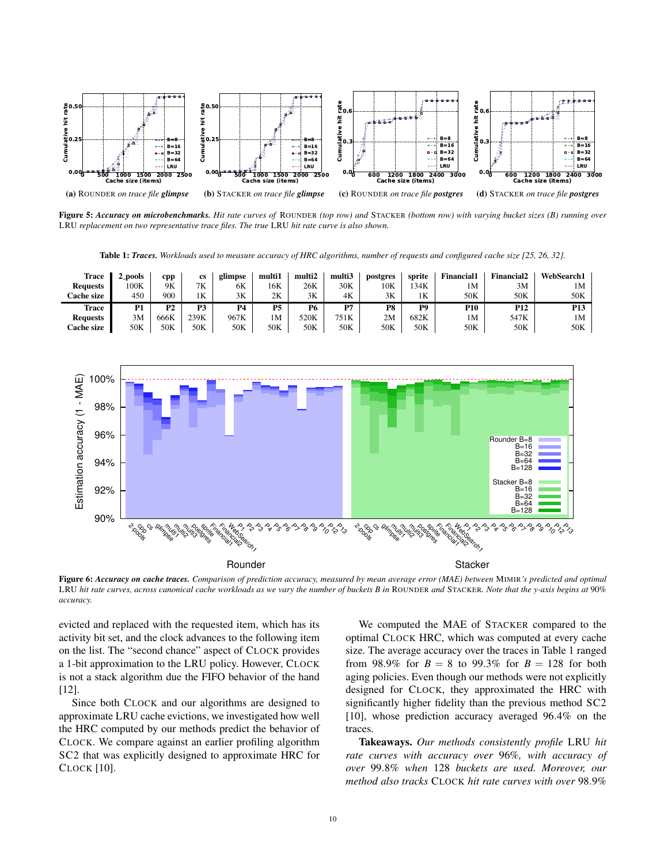

Figure 5: *Accuracy on microbenchmarks. Hit rate curves of* ROUNDER *(top row) and* STACKER *(bottom row) with varying bucket sizes (B) running over* LRU *replacement on two representative trace files. The true* LRU *hit rate curve is also shown.*

Table 1: *Traces. Workloads used to measure accuracy of HRC algorithms, number of requests and configured cache size [25, 26, 32].*

| 2_pools | cpp  | <b>cs</b> | glimpse   | multi1         | multi2                          | multi3 | postgres | sprite | <b>Financial1</b> | <b>Financial2</b> | <b>WebSearch1</b> |
|---------|------|-----------|-----------|----------------|---------------------------------|--------|----------|--------|-------------------|-------------------|-------------------|
| 100K    | 9Κ   | 7K        | 6K        | 16K            | 26K                             | 30K    | 10K      | 34K    | 1M                | 3M                | 1M                |
| 450     | 900  | 1Κ        | 3K        | 2K             | 3K                              | 4K     | 3K       | 1Κ     | 50K               | 50K               | 50K               |
| D1      | P2   | P3        | <b>P4</b> | P <sub>5</sub> | Р6                              | P7     | P8       | P9     | <b>P10</b>        | P <sub>12</sub>   | P <sub>13</sub>   |
| 3M      | 666K | 239K      | 967K      | 1M             | 520K                            | 751K   | 2M       | 682K   | 1M                | 547K              | 1 <sub>M</sub>    |
|         |      |           |           |                | 50K                             | 50K    | 50K      | 50K    | 50K               | 50K               | 50K               |
|         |      |           |           |                | 50K<br>50K<br>50K<br>50K<br>50K |        |          |        |                   |                   |                   |



Figure 6: *Accuracy on cache traces. Comparison of prediction accuracy, measured by mean average error (MAE) between* MIMIR*'s predicted and optimal* LRU *hit rate curves, across canonical cache workloads as we vary the number of buckets B in* ROUNDER *and* STACKER*. Note that the y-axis begins at* 90% *accuracy.*

evicted and replaced with the requested item, which has its activity bit set, and the clock advances to the following item on the list. The "second chance" aspect of CLOCK provides a 1-bit approximation to the LRU policy. However, CLOCK is not a stack algorithm due the FIFO behavior of the hand [12].

Since both CLOCK and our algorithms are designed to approximate LRU cache evictions, we investigated how well the HRC computed by our methods predict the behavior of CLOCK. We compare against an earlier profiling algorithm SC2 that was explicitly designed to approximate HRC for CLOCK [10].

We computed the MAE of STACKER compared to the optimal CLOCK HRC, which was computed at every cache size. The average accuracy over the traces in Table 1 ranged from 98.9% for  $B = 8$  to 99.3% for  $B = 128$  for both aging policies. Even though our methods were not explicitly designed for CLOCK, they approximated the HRC with significantly higher fidelity than the previous method SC2 [10], whose prediction accuracy averaged 96.4% on the traces.

Takeaways. *Our methods consistently profile* LRU *hit rate curves with accuracy over* 96%*, with accuracy of over* 99.8% *when* 128 *buckets are used. Moreover, our method also tracks* CLOCK *hit rate curves with over* 98.9%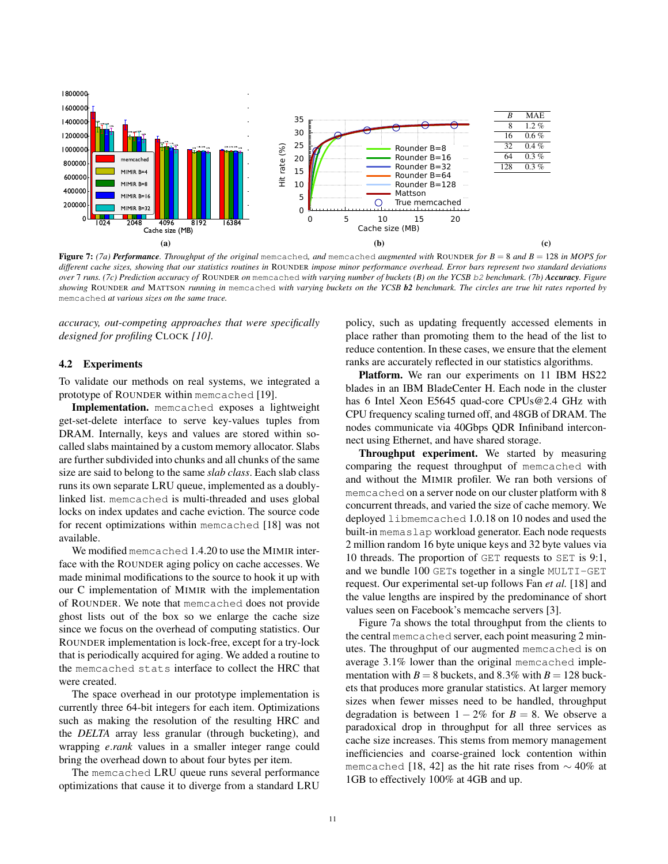

Figure 7: *(7a) Performance. Throughput of the original* memcached*, and* memcached *augmented with* ROUNDER *for B* = 8 *and B* = 128 *in MOPS for different cache sizes, showing that our statistics routines in* ROUNDER *impose minor performance overhead. Error bars represent two standard deviations over* 7 *runs. (7c) Prediction accuracy of* ROUNDER *on* memcached *with varying number of buckets (B) on the YCSB* b2 *benchmark. (7b) Accuracy. Figure showing* ROUNDER *and* MATTSON *running in* memcached *with varying buckets on the YCSB b2 benchmark. The circles are true hit rates reported by* memcached *at various sizes on the same trace.*

*accuracy, out-competing approaches that were specifically designed for profiling* CLOCK *[10].*

## 4.2 Experiments

To validate our methods on real systems, we integrated a prototype of ROUNDER within memcached [19].

Implementation. memcached exposes a lightweight get-set-delete interface to serve key-values tuples from DRAM. Internally, keys and values are stored within socalled slabs maintained by a custom memory allocator. Slabs are further subdivided into chunks and all chunks of the same size are said to belong to the same *slab class*. Each slab class runs its own separate LRU queue, implemented as a doublylinked list. memcached is multi-threaded and uses global locks on index updates and cache eviction. The source code for recent optimizations within memcached [18] was not available.

We modified memcached 1.4.20 to use the MIMIR interface with the ROUNDER aging policy on cache accesses. We made minimal modifications to the source to hook it up with our C implementation of MIMIR with the implementation of ROUNDER. We note that memcached does not provide ghost lists out of the box so we enlarge the cache size since we focus on the overhead of computing statistics. Our ROUNDER implementation is lock-free, except for a try-lock that is periodically acquired for aging. We added a routine to the memcached stats interface to collect the HRC that were created.

The space overhead in our prototype implementation is currently three 64-bit integers for each item. Optimizations such as making the resolution of the resulting HRC and the *DELTA* array less granular (through bucketing), and wrapping *e*.*rank* values in a smaller integer range could bring the overhead down to about four bytes per item.

The memcached LRU queue runs several performance optimizations that cause it to diverge from a standard LRU

policy, such as updating frequently accessed elements in place rather than promoting them to the head of the list to reduce contention. In these cases, we ensure that the element ranks are accurately reflected in our statistics algorithms.

Platform. We ran our experiments on 11 IBM HS22 blades in an IBM BladeCenter H. Each node in the cluster has 6 Intel Xeon E5645 quad-core CPUs@2.4 GHz with CPU frequency scaling turned off, and 48GB of DRAM. The nodes communicate via 40Gbps QDR Infiniband interconnect using Ethernet, and have shared storage.

Throughput experiment. We started by measuring comparing the request throughput of memcached with and without the MIMIR profiler. We ran both versions of memcached on a server node on our cluster platform with 8 concurrent threads, and varied the size of cache memory. We deployed libmemcached 1.0.18 on 10 nodes and used the built-in memaslap workload generator. Each node requests 2 million random 16 byte unique keys and 32 byte values via 10 threads. The proportion of GET requests to SET is 9:1, and we bundle 100 GETs together in a single MULTI-GET request. Our experimental set-up follows Fan *et al.* [18] and the value lengths are inspired by the predominance of short values seen on Facebook's memcache servers [3].

Figure 7a shows the total throughput from the clients to the central memcached server, each point measuring 2 minutes. The throughput of our augmented memcached is on average 3.1% lower than the original memcached implementation with  $B = 8$  buckets, and 8.3% with  $B = 128$  buckets that produces more granular statistics. At larger memory sizes when fewer misses need to be handled, throughput degradation is between  $1 - 2\%$  for  $B = 8$ . We observe a paradoxical drop in throughput for all three services as cache size increases. This stems from memory management inefficiencies and coarse-grained lock contention within memcached [18, 42] as the hit rate rises from ∼ 40% at 1GB to effectively 100% at 4GB and up.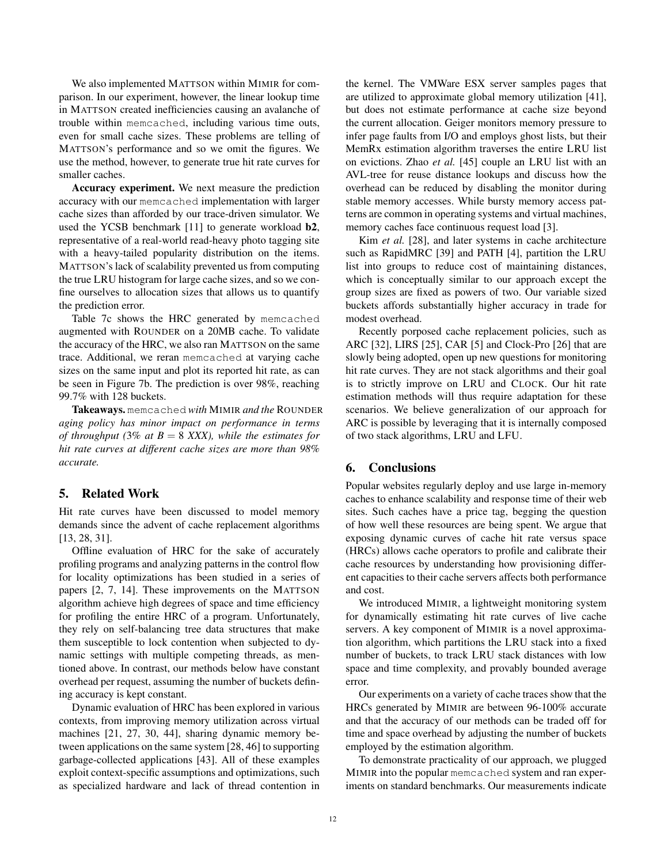We also implemented MATTSON within MIMIR for comparison. In our experiment, however, the linear lookup time in MATTSON created inefficiencies causing an avalanche of trouble within memcached, including various time outs, even for small cache sizes. These problems are telling of MATTSON's performance and so we omit the figures. We use the method, however, to generate true hit rate curves for smaller caches.

Accuracy experiment. We next measure the prediction accuracy with our memcached implementation with larger cache sizes than afforded by our trace-driven simulator. We used the YCSB benchmark [11] to generate workload b2, representative of a real-world read-heavy photo tagging site with a heavy-tailed popularity distribution on the items. MATTSON's lack of scalability prevented us from computing the true LRU histogram for large cache sizes, and so we confine ourselves to allocation sizes that allows us to quantify the prediction error.

Table 7c shows the HRC generated by memcached augmented with ROUNDER on a 20MB cache. To validate the accuracy of the HRC, we also ran MATTSON on the same trace. Additional, we reran memcached at varying cache sizes on the same input and plot its reported hit rate, as can be seen in Figure 7b. The prediction is over 98%, reaching 99.7% with 128 buckets.

Takeaways. memcached *with* MIMIR *and the* ROUNDER *aging policy has minor impact on performance in terms of throughput (*3% *at B* = 8 *XXX), while the estimates for hit rate curves at different cache sizes are more than 98% accurate.*

# 5. Related Work

Hit rate curves have been discussed to model memory demands since the advent of cache replacement algorithms [13, 28, 31].

Offline evaluation of HRC for the sake of accurately profiling programs and analyzing patterns in the control flow for locality optimizations has been studied in a series of papers [2, 7, 14]. These improvements on the MATTSON algorithm achieve high degrees of space and time efficiency for profiling the entire HRC of a program. Unfortunately, they rely on self-balancing tree data structures that make them susceptible to lock contention when subjected to dynamic settings with multiple competing threads, as mentioned above. In contrast, our methods below have constant overhead per request, assuming the number of buckets defining accuracy is kept constant.

Dynamic evaluation of HRC has been explored in various contexts, from improving memory utilization across virtual machines [21, 27, 30, 44], sharing dynamic memory between applications on the same system [28, 46] to supporting garbage-collected applications [43]. All of these examples exploit context-specific assumptions and optimizations, such as specialized hardware and lack of thread contention in

the kernel. The VMWare ESX server samples pages that are utilized to approximate global memory utilization [41], but does not estimate performance at cache size beyond the current allocation. Geiger monitors memory pressure to infer page faults from I/O and employs ghost lists, but their MemRx estimation algorithm traverses the entire LRU list on evictions. Zhao *et al.* [45] couple an LRU list with an AVL-tree for reuse distance lookups and discuss how the overhead can be reduced by disabling the monitor during stable memory accesses. While bursty memory access patterns are common in operating systems and virtual machines, memory caches face continuous request load [3].

Kim *et al.* [28], and later systems in cache architecture such as RapidMRC [39] and PATH [4], partition the LRU list into groups to reduce cost of maintaining distances, which is conceptually similar to our approach except the group sizes are fixed as powers of two. Our variable sized buckets affords substantially higher accuracy in trade for modest overhead.

Recently porposed cache replacement policies, such as ARC [32], LIRS [25], CAR [5] and Clock-Pro [26] that are slowly being adopted, open up new questions for monitoring hit rate curves. They are not stack algorithms and their goal is to strictly improve on LRU and CLOCK. Our hit rate estimation methods will thus require adaptation for these scenarios. We believe generalization of our approach for ARC is possible by leveraging that it is internally composed of two stack algorithms, LRU and LFU.

# 6. Conclusions

Popular websites regularly deploy and use large in-memory caches to enhance scalability and response time of their web sites. Such caches have a price tag, begging the question of how well these resources are being spent. We argue that exposing dynamic curves of cache hit rate versus space (HRCs) allows cache operators to profile and calibrate their cache resources by understanding how provisioning different capacities to their cache servers affects both performance and cost.

We introduced MIMIR, a lightweight monitoring system for dynamically estimating hit rate curves of live cache servers. A key component of MIMIR is a novel approximation algorithm, which partitions the LRU stack into a fixed number of buckets, to track LRU stack distances with low space and time complexity, and provably bounded average error.

Our experiments on a variety of cache traces show that the HRCs generated by MIMIR are between 96-100% accurate and that the accuracy of our methods can be traded off for time and space overhead by adjusting the number of buckets employed by the estimation algorithm.

To demonstrate practicality of our approach, we plugged MIMIR into the popular memcached system and ran experiments on standard benchmarks. Our measurements indicate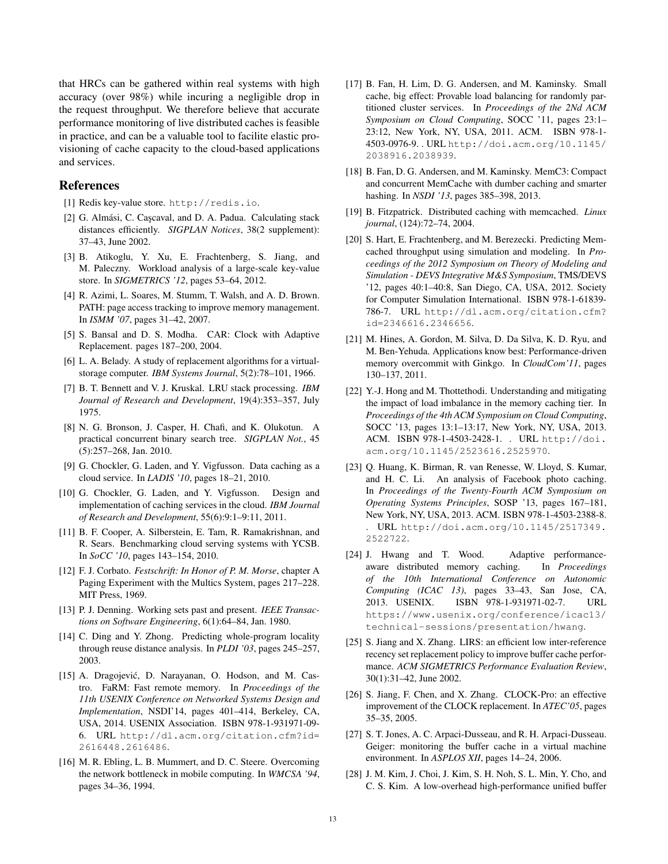that HRCs can be gathered within real systems with high accuracy (over 98%) while incuring a negligible drop in the request throughput. We therefore believe that accurate performance monitoring of live distributed caches is feasible in practice, and can be a valuable tool to facilite elastic provisioning of cache capacity to the cloud-based applications and services.

## References

- [1] Redis key-value store. http://redis.io.
- [2] G. Almási, C. Cascaval, and D. A. Padua. Calculating stack distances efficiently. *SIGPLAN Notices*, 38(2 supplement): 37–43, June 2002.
- [3] B. Atikoglu, Y. Xu, E. Frachtenberg, S. Jiang, and M. Paleczny. Workload analysis of a large-scale key-value store. In *SIGMETRICS '12*, pages 53–64, 2012.
- [4] R. Azimi, L. Soares, M. Stumm, T. Walsh, and A. D. Brown. PATH: page access tracking to improve memory management. In *ISMM '07*, pages 31–42, 2007.
- [5] S. Bansal and D. S. Modha. CAR: Clock with Adaptive Replacement. pages 187–200, 2004.
- [6] L. A. Belady. A study of replacement algorithms for a virtualstorage computer. *IBM Systems Journal*, 5(2):78–101, 1966.
- [7] B. T. Bennett and V. J. Kruskal. LRU stack processing. *IBM Journal of Research and Development*, 19(4):353–357, July 1975.
- [8] N. G. Bronson, J. Casper, H. Chafi, and K. Olukotun. A practical concurrent binary search tree. *SIGPLAN Not.*, 45 (5):257–268, Jan. 2010.
- [9] G. Chockler, G. Laden, and Y. Vigfusson. Data caching as a cloud service. In *LADIS '10*, pages 18–21, 2010.
- [10] G. Chockler, G. Laden, and Y. Vigfusson. Design and implementation of caching services in the cloud. *IBM Journal of Research and Development*, 55(6):9:1–9:11, 2011.
- [11] B. F. Cooper, A. Silberstein, E. Tam, R. Ramakrishnan, and R. Sears. Benchmarking cloud serving systems with YCSB. In *SoCC '10*, pages 143–154, 2010.
- [12] F. J. Corbato. *Festschrift: In Honor of P. M. Morse*, chapter A Paging Experiment with the Multics System, pages 217–228. MIT Press, 1969.
- [13] P. J. Denning. Working sets past and present. *IEEE Transactions on Software Engineering*, 6(1):64–84, Jan. 1980.
- [14] C. Ding and Y. Zhong. Predicting whole-program locality through reuse distance analysis. In *PLDI '03*, pages 245–257, 2003.
- [15] A. Dragojević, D. Narayanan, O. Hodson, and M. Castro. FaRM: Fast remote memory. In *Proceedings of the 11th USENIX Conference on Networked Systems Design and Implementation*, NSDI'14, pages 401–414, Berkeley, CA, USA, 2014. USENIX Association. ISBN 978-1-931971-09- 6. URL http://dl.acm.org/citation.cfm?id= 2616448.2616486.
- [16] M. R. Ebling, L. B. Mummert, and D. C. Steere. Overcoming the network bottleneck in mobile computing. In *WMCSA '94*, pages 34–36, 1994.
- [17] B. Fan, H. Lim, D. G. Andersen, and M. Kaminsky. Small cache, big effect: Provable load balancing for randomly partitioned cluster services. In *Proceedings of the 2Nd ACM Symposium on Cloud Computing*, SOCC '11, pages 23:1– 23:12, New York, NY, USA, 2011. ACM. ISBN 978-1- 4503-0976-9. . URL http://doi.acm.org/10.1145/ 2038916.2038939.
- [18] B. Fan, D. G. Andersen, and M. Kaminsky. MemC3: Compact and concurrent MemCache with dumber caching and smarter hashing. In *NSDI '13*, pages 385–398, 2013.
- [19] B. Fitzpatrick. Distributed caching with memcached. *Linux journal*, (124):72–74, 2004.
- [20] S. Hart, E. Frachtenberg, and M. Berezecki. Predicting Memcached throughput using simulation and modeling. In *Proceedings of the 2012 Symposium on Theory of Modeling and Simulation - DEVS Integrative M&S Symposium*, TMS/DEVS '12, pages 40:1–40:8, San Diego, CA, USA, 2012. Society for Computer Simulation International. ISBN 978-1-61839- 786-7. URL http://dl.acm.org/citation.cfm? id=2346616.2346656.
- [21] M. Hines, A. Gordon, M. Silva, D. Da Silva, K. D. Ryu, and M. Ben-Yehuda. Applications know best: Performance-driven memory overcommit with Ginkgo. In *CloudCom'11*, pages 130–137, 2011.
- [22] Y.-J. Hong and M. Thottethodi. Understanding and mitigating the impact of load imbalance in the memory caching tier. In *Proceedings of the 4th ACM Symposium on Cloud Computing*, SOCC '13, pages 13:1–13:17, New York, NY, USA, 2013. ACM. ISBN 978-1-4503-2428-1. . URL http://doi. acm.org/10.1145/2523616.2525970.
- [23] Q. Huang, K. Birman, R. van Renesse, W. Lloyd, S. Kumar, and H. C. Li. An analysis of Facebook photo caching. In *Proceedings of the Twenty-Fourth ACM Symposium on Operating Systems Principles*, SOSP '13, pages 167–181, New York, NY, USA, 2013. ACM. ISBN 978-1-4503-2388-8. . URL http://doi.acm.org/10.1145/2517349. 2522722.
- [24] J. Hwang and T. Wood. Adaptive performanceaware distributed memory caching. In *Proceedings of the 10th International Conference on Autonomic Computing (ICAC 13)*, pages 33–43, San Jose, CA, 2013. USENIX. ISBN 978-1-931971-02-7. URL https://www.usenix.org/conference/icac13/ technical-sessions/presentation/hwang.
- [25] S. Jiang and X. Zhang. LIRS: an efficient low inter-reference recency set replacement policy to improve buffer cache performance. *ACM SIGMETRICS Performance Evaluation Review*, 30(1):31–42, June 2002.
- [26] S. Jiang, F. Chen, and X. Zhang. CLOCK-Pro: an effective improvement of the CLOCK replacement. In *ATEC'05*, pages 35–35, 2005.
- [27] S. T. Jones, A. C. Arpaci-Dusseau, and R. H. Arpaci-Dusseau. Geiger: monitoring the buffer cache in a virtual machine environment. In *ASPLOS XII*, pages 14–24, 2006.
- [28] J. M. Kim, J. Choi, J. Kim, S. H. Noh, S. L. Min, Y. Cho, and C. S. Kim. A low-overhead high-performance unified buffer